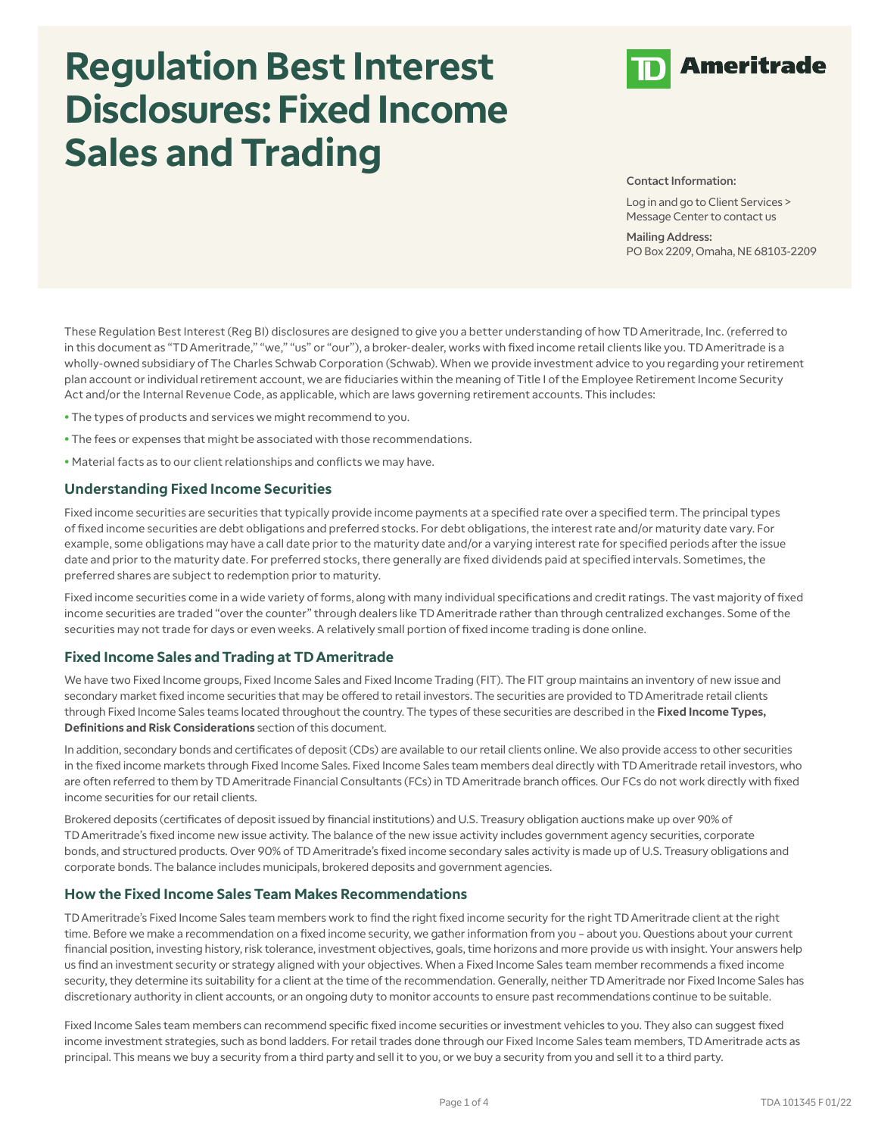# **Regulation Best Interest Disclosures: Fixed Income Sales and Trading**



Contact Information:

Log in and go to Client Services > Message Center to contact us

Mailing Address: PO Box 2209, Omaha, NE 68103-2209

These Regulation Best Interest (Reg BI) disclosures are designed to give you a better understanding of how TD Ameritrade, Inc. (referred to in this document as "TD Ameritrade," "we," "us" or "our"), a broker-dealer, works with fixed income retail clients like you. TD Ameritrade is a wholly-owned subsidiary of The Charles Schwab Corporation (Schwab). When we provide investment advice to you regarding your retirement plan account or individual retirement account, we are fiduciaries within the meaning of Title I of the Employee Retirement Income Security Act and/or the Internal Revenue Code, as applicable, which are laws governing retirement accounts. This includes:

- The types of products and services we might recommend to you.
- The fees or expenses that might be associated with those recommendations.
- Material facts as to our client relationships and conflicts we may have.

#### **Understanding Fixed Income Securities**

Fixed income securities are securities that typically provide income payments at a specified rate over a specified term. The principal types of fixed income securities are debt obligations and preferred stocks. For debt obligations, the interest rate and/or maturity date vary. For example, some obligations may have a call date prior to the maturity date and/or a varying interest rate for specified periods after the issue date and prior to the maturity date. For preferred stocks, there generally are fixed dividends paid at specified intervals. Sometimes, the preferred shares are subject to redemption prior to maturity.

Fixed income securities come in a wide variety of forms, along with many individual specifications and credit ratings. The vast majority of fixed income securities are traded "over the counter" through dealers like TD Ameritrade rather than through centralized exchanges. Some of the securities may not trade for days or even weeks. A relatively small portion of fixed income trading is done online.

#### **Fixed Income Sales and Trading at TD Ameritrade**

We have two Fixed Income groups, Fixed Income Sales and Fixed Income Trading (FIT). The FIT group maintains an inventory of new issue and secondary market fixed income securities that may be offered to retail investors. The securities are provided to TD Ameritrade retail clients through Fixed Income Sales teams located throughout the country. The types of these securities are described in the **Fixed Income Types, Definitions and Risk Considerations** section of this document.

In addition, secondary bonds and certificates of deposit (CDs) are available to our retail clients online. We also provide access to other securities in the fixed income markets through Fixed Income Sales. Fixed Income Sales team members deal directly with TD Ameritrade retail investors, who are often referred to them by TD Ameritrade Financial Consultants (FCs) in TD Ameritrade branch offices. Our FCs do not work directly with fixed income securities for our retail clients.

Brokered deposits (certificates of deposit issued by financial institutions) and U.S. Treasury obligation auctions make up over 90% of TD Ameritrade's fixed income new issue activity. The balance of the new issue activity includes government agency securities, corporate bonds, and structured products. Over 90% of TD Ameritrade's fixed income secondary sales activity is made up of U.S. Treasury obligations and corporate bonds. The balance includes municipals, brokered deposits and government agencies.

#### **How the Fixed Income Sales Team Makes Recommendations**

TD Ameritrade's Fixed Income Sales team members work to find the right fixed income security for the right TD Ameritrade client at the right time. Before we make a recommendation on a fixed income security, we gather information from you – about you. Questions about your current financial position, investing history, risk tolerance, investment objectives, goals, time horizons and more provide us with insight. Your answers help us find an investment security or strategy aligned with your objectives. When a Fixed Income Sales team member recommends a fixed income security, they determine its suitability for a client at the time of the recommendation. Generally, neither TD Ameritrade nor Fixed Income Sales has discretionary authority in client accounts, or an ongoing duty to monitor accounts to ensure past recommendations continue to be suitable.

Fixed Income Sales team members can recommend specific fixed income securities or investment vehicles to you. They also can suggest fixed income investment strategies, such as bond ladders. For retail trades done through our Fixed Income Sales team members, TD Ameritrade acts as principal. This means we buy a security from a third party and sell it to you, or we buy a security from you and sell it to a third party.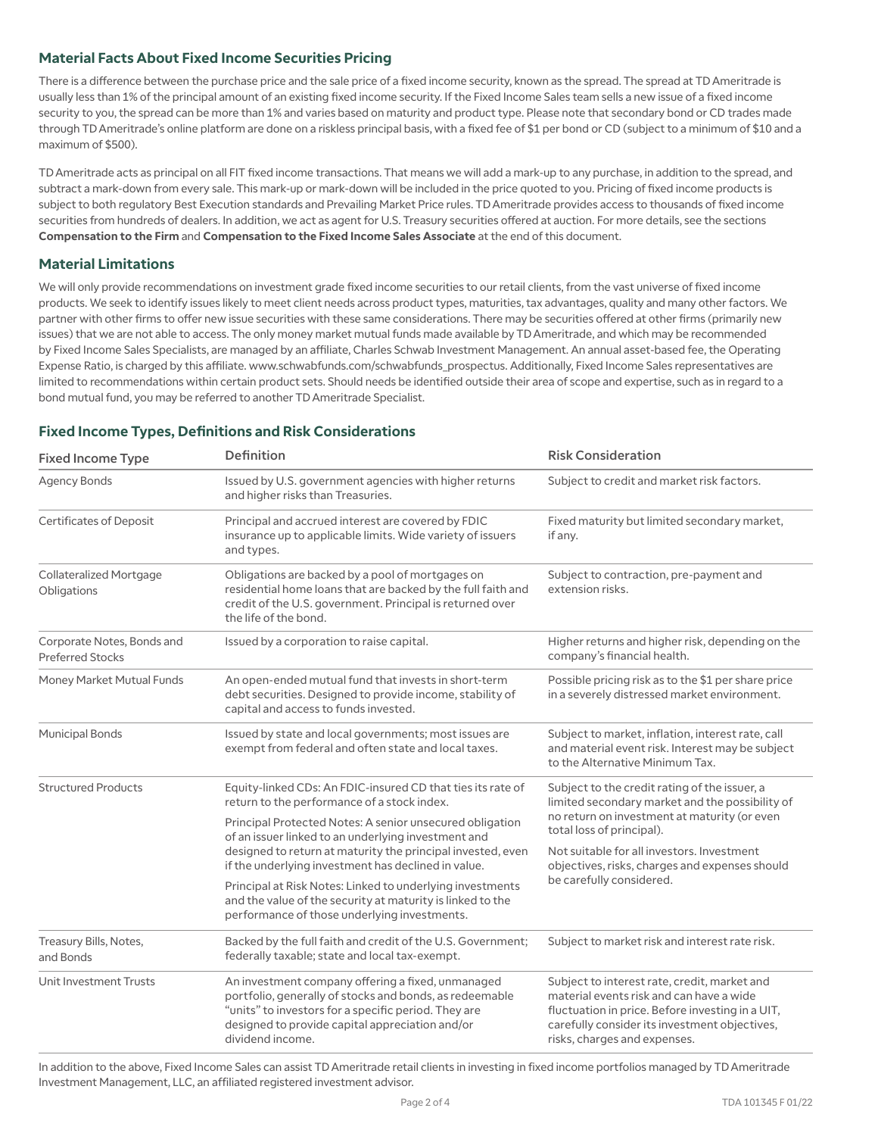## **Material Facts About Fixed Income Securities Pricing**

There is a difference between the purchase price and the sale price of a fixed income security, known as the spread. The spread at TD Ameritrade is usually less than 1% of the principal amount of an existing fixed income security. If the Fixed Income Sales team sells a new issue of a fixed income security to you, the spread can be more than 1% and varies based on maturity and product type. Please note that secondary bond or CD trades made through TD Ameritrade's online platform are done on a riskless principal basis, with a fixed fee of \$1 per bond or CD (subject to a minimum of \$10 and a maximum of \$500).

TD Ameritrade acts as principal on all FIT fixed income transactions. That means we will add a mark-up to any purchase, in addition to the spread, and subtract a mark-down from every sale. This mark-up or mark-down will be included in the price quoted to you. Pricing of fixed income products is subject to both regulatory Best Execution standards and Prevailing Market Price rules. TD Ameritrade provides access to thousands of fixed income securities from hundreds of dealers. In addition, we act as agent for U.S. Treasury securities offered at auction. For more details, see the sections **Compensation to the Firm** and **Compensation to the Fixed Income Sales Associate** at the end of this document.

## **Material Limitations**

We will only provide recommendations on investment grade fixed income securities to our retail clients, from the vast universe of fixed income products. We seek to identify issues likely to meet client needs across product types, maturities, tax advantages, quality and many other factors. We partner with other firms to offer new issue securities with these same considerations. There may be securities offered at other firms (primarily new issues) that we are not able to access. The only money market mutual funds made available by TD Ameritrade, and which may be recommended by Fixed Income Sales Specialists, are managed by an affiliate, Charles Schwab Investment Management. An annual asset-based fee, the Operating Expense Ratio, is charged by this affiliate. www.schwabfunds.com/schwabfunds\_prospectus. Additionally, Fixed Income Sales representatives are limited to recommendations within certain product sets. Should needs be identified outside their area of scope and expertise, such as in regard to a bond mutual fund, you may be referred to another TD Ameritrade Specialist.

## **Fixed Income Types, Definitions and Risk Considerations**

| <b>Fixed Income Type</b>                              | Definition                                                                                                                                                                                                                                  | <b>Risk Consideration</b>                                                                                                                                                                                                                                                                                 |
|-------------------------------------------------------|---------------------------------------------------------------------------------------------------------------------------------------------------------------------------------------------------------------------------------------------|-----------------------------------------------------------------------------------------------------------------------------------------------------------------------------------------------------------------------------------------------------------------------------------------------------------|
| <b>Agency Bonds</b>                                   | Issued by U.S. government agencies with higher returns<br>and higher risks than Treasuries.                                                                                                                                                 | Subject to credit and market risk factors.                                                                                                                                                                                                                                                                |
| <b>Certificates of Deposit</b>                        | Principal and accrued interest are covered by FDIC<br>insurance up to applicable limits. Wide variety of issuers<br>and types.                                                                                                              | Fixed maturity but limited secondary market,<br>if any.                                                                                                                                                                                                                                                   |
| <b>Collateralized Mortgage</b><br>Obligations         | Obligations are backed by a pool of mortgages on<br>residential home loans that are backed by the full faith and<br>credit of the U.S. government. Principal is returned over<br>the life of the bond.                                      | Subject to contraction, pre-payment and<br>extension risks.                                                                                                                                                                                                                                               |
| Corporate Notes, Bonds and<br><b>Preferred Stocks</b> | Issued by a corporation to raise capital.                                                                                                                                                                                                   | Higher returns and higher risk, depending on the<br>company's financial health.                                                                                                                                                                                                                           |
| Money Market Mutual Funds                             | An open-ended mutual fund that invests in short-term<br>debt securities. Designed to provide income, stability of<br>capital and access to funds invested.                                                                                  | Possible pricing risk as to the \$1 per share price<br>in a severely distressed market environment.                                                                                                                                                                                                       |
| <b>Municipal Bonds</b>                                | Issued by state and local governments; most issues are<br>exempt from federal and often state and local taxes.                                                                                                                              | Subject to market, inflation, interest rate, call<br>and material event risk. Interest may be subject<br>to the Alternative Minimum Tax.                                                                                                                                                                  |
| <b>Structured Products</b>                            | Equity-linked CDs: An FDIC-insured CD that ties its rate of<br>return to the performance of a stock index.                                                                                                                                  | Subject to the credit rating of the issuer, a<br>limited secondary market and the possibility of<br>no return on investment at maturity (or even<br>total loss of principal).<br>Not suitable for all investors, Investment<br>objectives, risks, charges and expenses should<br>be carefully considered. |
|                                                       | Principal Protected Notes: A senior unsecured obligation<br>of an issuer linked to an underlying investment and                                                                                                                             |                                                                                                                                                                                                                                                                                                           |
|                                                       | designed to return at maturity the principal invested, even<br>if the underlying investment has declined in value.                                                                                                                          |                                                                                                                                                                                                                                                                                                           |
|                                                       | Principal at Risk Notes: Linked to underlying investments<br>and the value of the security at maturity is linked to the<br>performance of those underlying investments.                                                                     |                                                                                                                                                                                                                                                                                                           |
| Treasury Bills, Notes,<br>and Bonds                   | Backed by the full faith and credit of the U.S. Government;<br>federally taxable; state and local tax-exempt.                                                                                                                               | Subject to market risk and interest rate risk.                                                                                                                                                                                                                                                            |
| <b>Unit Investment Trusts</b>                         | An investment company offering a fixed, unmanaged<br>portfolio, generally of stocks and bonds, as redeemable<br>"units" to investors for a specific period. They are<br>designed to provide capital appreciation and/or<br>dividend income. | Subject to interest rate, credit, market and<br>material events risk and can have a wide<br>fluctuation in price. Before investing in a UIT,<br>carefully consider its investment objectives,<br>risks, charges and expenses.                                                                             |

In addition to the above, Fixed Income Sales can assist TD Ameritrade retail clients in investing in fixed income portfolios managed by TD Ameritrade Investment Management, LLC, an affiliated registered investment advisor.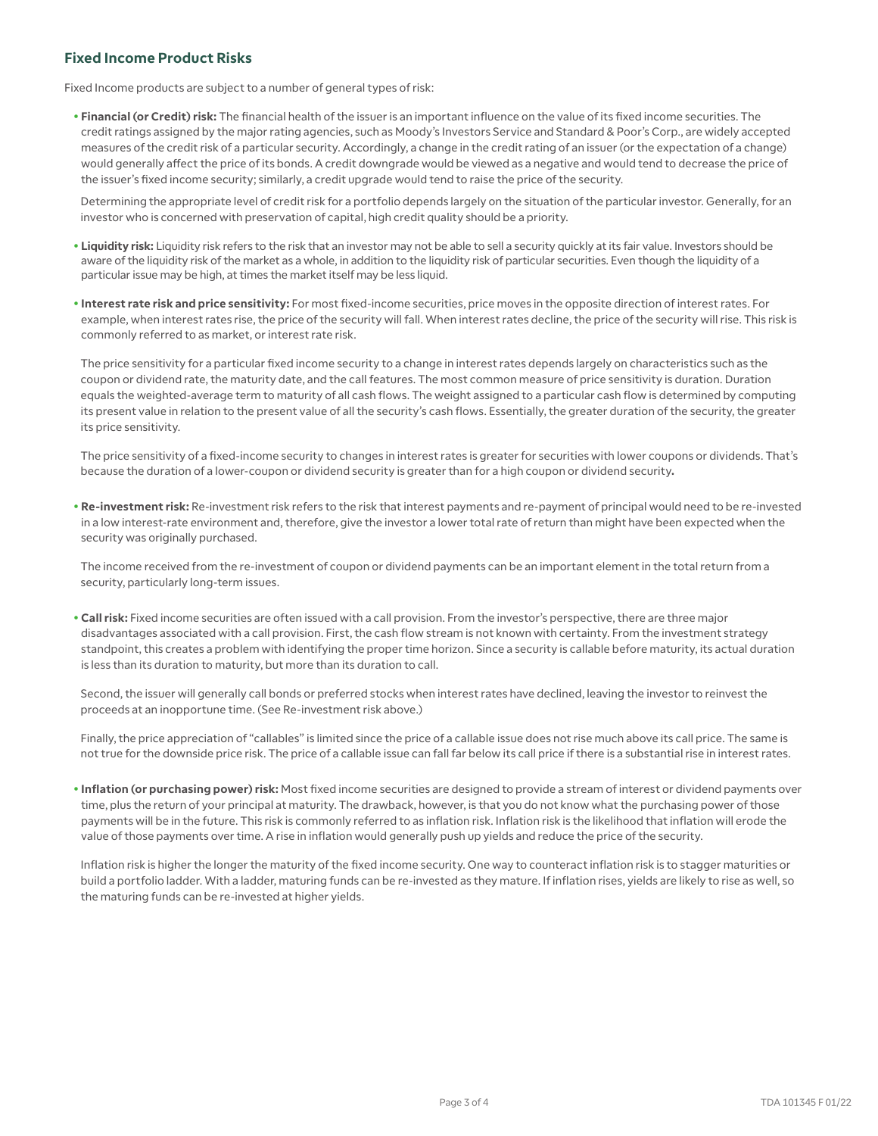## **Fixed Income Product Risks**

Fixed Income products are subject to a number of general types of risk:

 • **Financial (or Credit) risk:** The financial health of the issuer is an important influence on the value of its fixed income securities. The credit ratings assigned by the major rating agencies, such as Moody's Investors Service and Standard & Poor's Corp., are widely accepted measures of the credit risk of a particular security. Accordingly, a change in the credit rating of an issuer (or the expectation of a change) would generally affect the price of its bonds. A credit downgrade would be viewed as a negative and would tend to decrease the price of the issuer's fixed income security; similarly, a credit upgrade would tend to raise the price of the security.

 Determining the appropriate level of credit risk for a portfolio depends largely on the situation of the particular investor. Generally, for an investor who is concerned with preservation of capital, high credit quality should be a priority.

- **Liquidity risk:** Liquidity risk refers to the risk that an investor may not be able to sell a security quickly at its fair value. Investors should be aware of the liquidity risk of the market as a whole, in addition to the liquidity risk of particular securities. Even though the liquidity of a particular issue may be high, at times the market itself may be less liquid.
- **Interest rate risk and price sensitivity:** For most fixed-income securities, price moves in the opposite direction of interest rates. For example, when interest rates rise, the price of the security will fall. When interest rates decline, the price of the security will rise. This risk is commonly referred to as market, or interest rate risk.

 The price sensitivity for a particular fixed income security to a change in interest rates depends largely on characteristics such as the coupon or dividend rate, the maturity date, and the call features. The most common measure of price sensitivity is duration. Duration equals the weighted-average term to maturity of all cash flows. The weight assigned to a particular cash flow is determined by computing its present value in relation to the present value of all the security's cash flows. Essentially, the greater duration of the security, the greater its price sensitivity.

 The price sensitivity of a fixed-income security to changes in interest rates is greater for securities with lower coupons or dividends. That's because the duration of a lower-coupon or dividend security is greater than for a high coupon or dividend security**.**

 • **Re-investment risk:** Re-investment risk refers to the risk that interest payments and re-payment of principal would need to be re-invested in a low interest-rate environment and, therefore, give the investor a lower total rate of return than might have been expected when the security was originally purchased.

 The income received from the re-investment of coupon or dividend payments can be an important element in the total return from a security, particularly long-term issues.

 • **Call risk:** Fixed income securities are often issued with a call provision. From the investor's perspective, there are three major disadvantages associated with a call provision. First, the cash flow stream is not known with certainty. From the investment strategy standpoint, this creates a problem with identifying the proper time horizon. Since a security is callable before maturity, its actual duration is less than its duration to maturity, but more than its duration to call.

 Second, the issuer will generally call bonds or preferred stocks when interest rates have declined, leaving the investor to reinvest the proceeds at an inopportune time. (See Re-investment risk above.)

 Finally, the price appreciation of "callables" is limited since the price of a callable issue does not rise much above its call price. The same is not true for the downside price risk. The price of a callable issue can fall far below its call price if there is a substantial rise in interest rates.

 • **Inflation (or purchasing power) risk:** Most fixed income securities are designed to provide a stream of interest or dividend payments over time, plus the return of your principal at maturity. The drawback, however, is that you do not know what the purchasing power of those payments will be in the future. This risk is commonly referred to as inflation risk. Inflation risk is the likelihood that inflation will erode the value of those payments over time. A rise in inflation would generally push up yields and reduce the price of the security.

 Inflation risk is higher the longer the maturity of the fixed income security. One way to counteract inflation risk is to stagger maturities or build a portfolio ladder. With a ladder, maturing funds can be re-invested as they mature. If inflation rises, yields are likely to rise as well, so the maturing funds can be re-invested at higher yields.